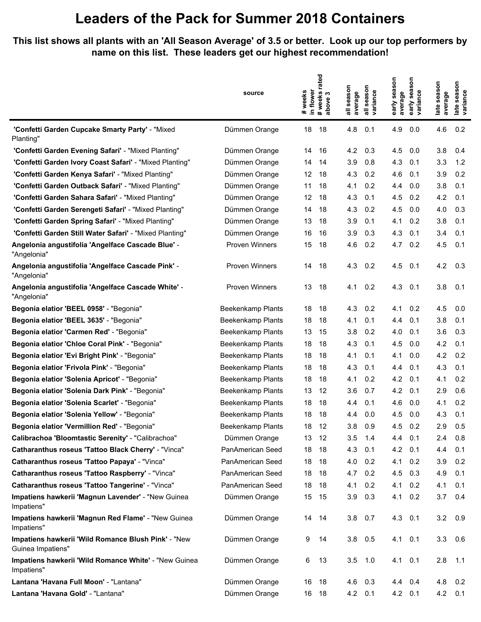## **Leaders of the Pack for Summer 2018 Containers**

**This list shows all plants with an 'All Season Average' of 3.5 or better. Look up our top performers by name on this list. These leaders get our highest recommendation!**

|                                                                          | source                   | in flower<br>weeks<br>$\ddot{\phantom{1}}$ | rated<br>weeks<br>bove 3<br>#week<br>above | all season<br>average | season<br>variance<br>$\ddot{=}$ | early season<br>average | season<br>early sea:<br>variance | late season<br>average | late season<br>variance |
|--------------------------------------------------------------------------|--------------------------|--------------------------------------------|--------------------------------------------|-----------------------|----------------------------------|-------------------------|----------------------------------|------------------------|-------------------------|
| 'Confetti Garden Cupcake Smarty Party' - "Mixed<br>Planting"             | Dümmen Orange            | 18                                         | 18                                         | 4.8                   | 0.1                              | 4.9                     | 0.0                              | 4.6                    | 0.2                     |
| 'Confetti Garden Evening Safari' - "Mixed Planting"                      | Dümmen Orange            | 14                                         | 16                                         | 4.2                   | 0.3                              | 4.5                     | 0.0                              | 3.8                    | 0.4                     |
| 'Confetti Garden Ivory Coast Safari' - "Mixed Planting"                  | Dümmen Orange            | 14                                         | 14                                         | 3.9                   | 0.8                              | 4.3                     | 0.1                              | 3.3                    | 1.2                     |
| 'Confetti Garden Kenya Safari' - "Mixed Planting"                        | Dümmen Orange            | 12                                         | 18                                         | 4.3                   | 0.2                              | 4.6                     | 0.1                              | 3.9                    | 0.2                     |
| 'Confetti Garden Outback Safari' - "Mixed Planting"                      | Dümmen Orange            | 11                                         | 18                                         | 4.1                   | 0.2                              | 4.4                     | 0.0                              | 3.8                    | 0.1                     |
| 'Confetti Garden Sahara Safari' - "Mixed Planting"                       | Dümmen Orange            | 12                                         | 18                                         | 4.3                   | 0.1                              | 4.5                     | 0.2                              | 4.2                    | 0.1                     |
| "Confetti Garden Serengeti Safari" - "Mixed Planting"                    | Dümmen Orange            | 14                                         | 18                                         | 4.3                   | 0.2                              | 4.5                     | 0.0                              | 4.0                    | 0.3                     |
| 'Confetti Garden Spring Safari' - "Mixed Planting"                       | Dümmen Orange            | 13                                         | 18                                         | 3.9                   | 0.1                              | 4.1                     | 0.2                              | 3.8                    | 0.1                     |
| 'Confetti Garden Still Water Safari' - "Mixed Planting"                  | Dümmen Orange            | 16                                         | 16                                         | 3.9                   | 0.3                              | 4.3                     | 0.1                              | 3.4                    | 0.1                     |
| Angelonia angustifolia 'Angelface Cascade Blue' -<br>"Angelonia"         | Proven Winners           | 15                                         | 18                                         | 4.6                   | 0.2                              | 4.7                     | 0.2                              | 4.5                    | 0.1                     |
| Angelonia angustifolia 'Angelface Cascade Pink' -<br>"Angelonia"         | <b>Proven Winners</b>    | 14                                         | 18                                         | 4.3                   | 0.2                              | 4.5                     | 0.1                              | 4.2                    | 0.3                     |
| Angelonia angustifolia 'Angelface Cascade White' -<br>"Angelonia"        | <b>Proven Winners</b>    | 13                                         | 18                                         | 4.1                   | 0.2                              | 4.3                     | 0.1                              | 3.8                    | 0.1                     |
| Begonia elatior 'BEEL 0958' - "Begonia"                                  | <b>Beekenkamp Plants</b> | 18                                         | 18                                         | 4.3                   | 0.2                              | 4.1                     | 0.2                              | 4.5                    | 0.0                     |
| Begonia elatior 'BEEL 3635' - "Begonia"                                  | Beekenkamp Plants        | 18                                         | 18                                         | 4.1                   | 0.1                              | 4.4                     | 0.1                              | 3.8                    | 0.1                     |
| Begonia elatior 'Carmen Red' - "Begonia"                                 | Beekenkamp Plants        | 13                                         | 15                                         | 3.8                   | 0.2                              | 4.0                     | 0.1                              | 3.6                    | 0.3                     |
| Begonia elatior 'Chloe Coral Pink' - "Begonia"                           | Beekenkamp Plants        | 18                                         | 18                                         | 4.3                   | 0.1                              | 4.5                     | 0.0                              | 4.2                    | 0.1                     |
| Begonia elatior 'Evi Bright Pink' - "Begonia"                            | <b>Beekenkamp Plants</b> | 18                                         | 18                                         | 4.1                   | 0.1                              | 4.1                     | 0.0                              | 4.2                    | 0.2                     |
| Begonia elatior 'Frivola Pink' - "Begonia"                               | Beekenkamp Plants        | 18                                         | 18                                         | 4.3                   | 0.1                              | 4.4                     | 0.1                              | 4.3                    | 0.1                     |
| Begonia elatior 'Solenia Apricot' - "Begonia"                            | Beekenkamp Plants        | 18                                         | 18                                         | 4.1                   | 0.2                              | 4.2                     | 0.1                              | 4.1                    | 0.2                     |
| Begonia elatior 'Solenia Dark Pink' - "Begonia"                          | <b>Beekenkamp Plants</b> | 13                                         | 12                                         | 3.6                   | 0.7                              | 4.2                     | 0.1                              | 2.9                    | 0.6                     |
| Begonia elatior 'Solenia Scarlet' - "Begonia"                            | <b>Beekenkamp Plants</b> | 18                                         | 18                                         | 4.4                   | 0.1                              | 4.6                     | 0.0                              | 4.1                    | 0.2                     |
| Begonia elatior 'Solenia Yellow' - "Begonia"                             | <b>Beekenkamp Plants</b> | 18                                         | 18                                         | 4.4                   | 0.0                              | 4.5                     | 0.0                              | 4.3                    | 0.1                     |
| Begonia elatior 'Vermillion Red' - "Begonia"                             | Beekenkamp Plants        | 18                                         | 12                                         | 3.8                   | 0.9                              | 4.5                     | 0.2                              | 2.9                    | 0.5                     |
| Calibrachoa 'Bloomtastic Serenity' - "Calibrachoa"                       | Dümmen Orange            | 13                                         | 12                                         | 3.5                   | 1.4                              | 4.4                     | 0.1                              | 2.4                    | 0.8                     |
| Catharanthus roseus 'Tattoo Black Cherry' - "Vinca"                      | PanAmerican Seed         | 18                                         | 18                                         | 4.3                   | 0.1                              | 4.2                     | 0.1                              | 4.4                    | 0.1                     |
| Catharanthus roseus 'Tattoo Papaya' - "Vinca"                            | PanAmerican Seed         | 18                                         | 18                                         | 4.0                   | 0.2                              | 4.1                     | 0.2                              | 3.9                    | 0.2                     |
| Catharanthus roseus 'Tattoo Raspberry' - "Vinca"                         | PanAmerican Seed         | 18                                         | 18                                         | 4.7                   | 0.2                              | 4.5                     | 0.3                              | 4.9                    | 0.1                     |
| Catharanthus roseus 'Tattoo Tangerine' - "Vinca"                         | PanAmerican Seed         | 18                                         | 18                                         | 4.1                   | 0.2                              | 4.1                     | 0.2                              | 4.1                    | 0.1                     |
| Impatiens hawkerii 'Magnun Lavender' - "New Guinea<br>Impatiens"         | Dümmen Orange            | 15                                         | 15                                         | 3.9                   | 0.3                              | 4.1                     | 0.2                              | 3.7                    | 0.4                     |
| Impatiens hawkerii 'Magnun Red Flame' - "New Guinea<br>Impatiens"        | Dümmen Orange            | 14 14                                      |                                            | 3.8                   | 0.7                              | 4.3 0.1                 |                                  | 3.2                    | 0.9                     |
| Impatiens hawkerii 'Wild Romance Blush Pink' - "New<br>Guinea Impatiens" | Dümmen Orange            | 9                                          | 14                                         | 3.8                   | 0.5                              | $4.1 \quad 0.1$         |                                  | 3.3                    | 0.6                     |
| Impatiens hawkerii 'Wild Romance White' - "New Guinea<br>Impatiens"      | Dümmen Orange            | 6                                          | 13                                         | 3.5                   | 1.0                              | $4.1 \quad 0.1$         |                                  | 2.8                    | 1.1                     |
| Lantana 'Havana Full Moon' - "Lantana"                                   | Dümmen Orange            | 16                                         | 18                                         | 4.6                   | 0.3                              | 4.4 0.4                 |                                  | 4.8                    | $0.2^{\circ}$           |
| Lantana 'Havana Gold' - "Lantana"                                        | Dümmen Orange            | 16 18                                      |                                            | 4.2 0.1               |                                  | 4.2 0.1                 |                                  | 4.2                    | 0.1                     |